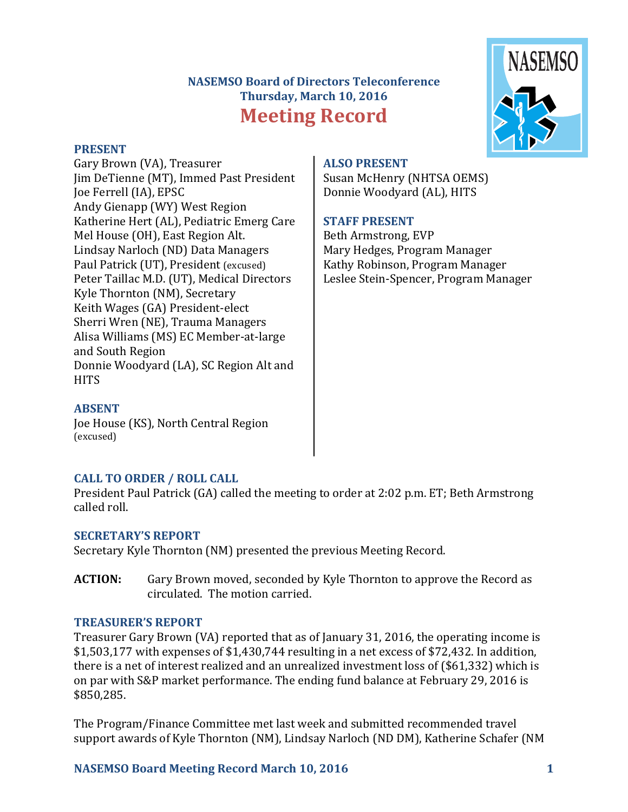# **NASEMSO Board of Directors Teleconference Thursday, March 10, 2016 Meeting Record**



#### **PRESENT**

Gary Brown (VA), Treasurer Iim DeTienne (MT), Immed Past President Joe Ferrell (IA), EPSC Andy Gienapp (WY) West Region Katherine Hert (AL), Pediatric Emerg Care Mel House (OH), East Region Alt. Lindsay Narloch (ND) Data Managers Paul Patrick (UT), President (excused) Peter Taillac M.D. (UT), Medical Directors Kyle Thornton (NM), Secretary Keith Wages (GA) President-elect Sherri Wren (NE), Trauma Managers Alisa Williams (MS) EC Member-at-large and South Region Donnie Woodyard (LA), SC Region Alt and **HITS** 

# **ALSO PRESENT**

Susan McHenry (NHTSA OEMS) Donnie Woodyard (AL), HITS

## **STAFF PRESENT**

Beth Armstrong, EVP Mary Hedges, Program Manager Kathy Robinson, Program Manager Leslee Stein-Spencer, Program Manager

#### **ABSENT**

Joe House (KS), North Central Region (excused)

## **CALL TO ORDER / ROLL CALL**

President Paul Patrick (GA) called the meeting to order at 2:02 p.m. ET; Beth Armstrong called roll.

## **SECRETARY'S REPORT**

Secretary Kyle Thornton (NM) presented the previous Meeting Record.

**ACTION:** Gary Brown moved, seconded by Kyle Thornton to approve the Record as circulated. The motion carried.

## **TREASURER'S REPORT**

Treasurer Gary Brown (VA) reported that as of January 31, 2016, the operating income is  $$1,503,177$  with expenses of  $$1,430,744$  resulting in a net excess of \$72,432. In addition, there is a net of interest realized and an unrealized investment loss of  $(S61,332)$  which is on par with S&P market performance. The ending fund balance at February 29, 2016 is \$850,285.

The Program/Finance Committee met last week and submitted recommended travel support awards of Kyle Thornton (NM), Lindsay Narloch (ND DM), Katherine Schafer (NM

## **NASEMSO Board Meeting Record March 10, 2016 1**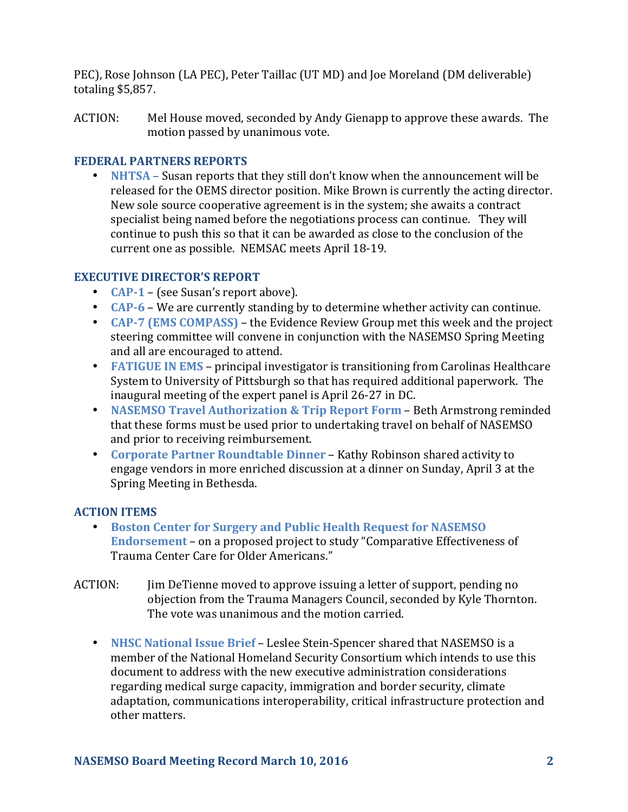PEC), Rose Johnson (LA PEC), Peter Taillac (UT MD) and Joe Moreland (DM deliverable) totaling \$5,857.

ACTION: Mel House moved, seconded by Andy Gienapp to approve these awards. The motion passed by unanimous vote.

#### **FEDERAL PARTNERS REPORTS**

• **NHTSA** – Susan reports that they still don't know when the announcement will be released for the OEMS director position. Mike Brown is currently the acting director. New sole source cooperative agreement is in the system; she awaits a contract specialist being named before the negotiations process can continue. They will continue to push this so that it can be awarded as close to the conclusion of the current one as possible. NEMSAC meets April 18-19.

## **EXECUTIVE DIRECTOR'S REPORT**

- **CAP-1** (see Susan's report above).
- **CAP-6** We are currently standing by to determine whether activity can continue.
- **CAP-7 (EMS COMPASS)** the Evidence Review Group met this week and the project steering committee will convene in conjunction with the NASEMSO Spring Meeting and all are encouraged to attend.
- FATIGUE IN EMS principal investigator is transitioning from Carolinas Healthcare System to University of Pittsburgh so that has required additional paperwork. The inaugural meeting of the expert panel is April 26-27 in DC.
- **NASEMSO Travel Authorization & Trip Report Form** Beth Armstrong reminded that these forms must be used prior to undertaking travel on behalf of NASEMSO and prior to receiving reimbursement.
- Corporate Partner Roundtable Dinner Kathy Robinson shared activity to engage vendors in more enriched discussion at a dinner on Sunday, April 3 at the Spring Meeting in Bethesda.

## **ACTION ITEMS**

- Boston Center for Surgery and Public Health Request for NASEMSO **Endorsement** - on a proposed project to study "Comparative Effectiveness of Trauma Center Care for Older Americans."
- ACTION: Jim DeTienne moved to approve issuing a letter of support, pending no objection from the Trauma Managers Council, seconded by Kyle Thornton. The vote was unanimous and the motion carried.
	- **NHSC National Issue Brief** Leslee Stein-Spencer shared that NASEMSO is a member of the National Homeland Security Consortium which intends to use this document to address with the new executive administration considerations regarding medical surge capacity, immigration and border security, climate adaptation, communications interoperability, critical infrastructure protection and other matters.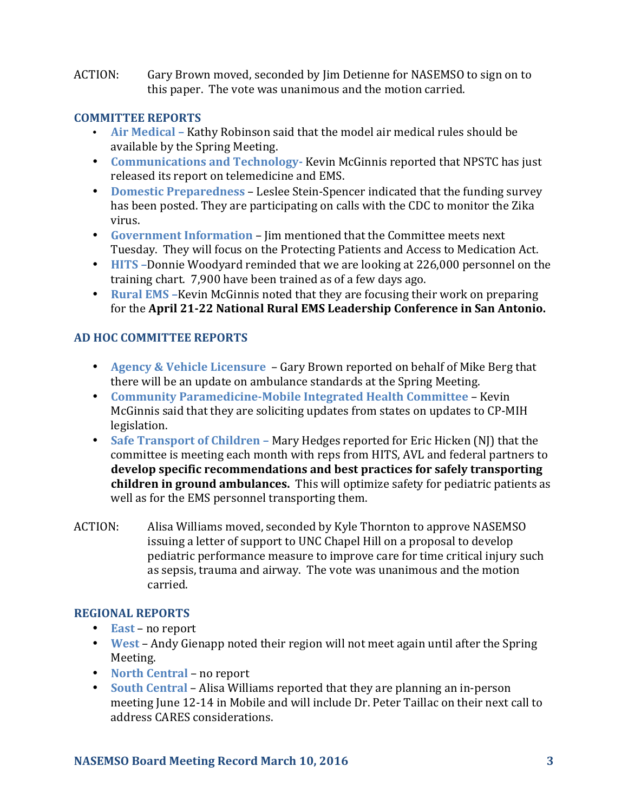ACTION: Gary Brown moved, seconded by Jim Detienne for NASEMSO to sign on to this paper. The vote was unanimous and the motion carried.

#### **COMMITTEE REPORTS**

- Air Medical Kathy Robinson said that the model air medical rules should be available by the Spring Meeting.
- **Communications and Technology-** Kevin McGinnis reported that NPSTC has just released its report on telemedicine and EMS.
- **Domestic Preparedness** Leslee Stein-Spencer indicated that the funding survey has been posted. They are participating on calls with the CDC to monitor the Zika virus.
- Government Information Jim mentioned that the Committee meets next Tuesday. They will focus on the Protecting Patients and Access to Medication Act.
- **HITS** -Donnie Woodyard reminded that we are looking at 226,000 personnel on the training chart. 7,900 have been trained as of a few days ago.
- **Rural EMS** Kevin McGinnis noted that they are focusing their work on preparing for the April 21-22 National Rural EMS Leadership Conference in San Antonio.

## **AD HOC COMMITTEE REPORTS**

- **Agency & Vehicle Licensure** Gary Brown reported on behalf of Mike Berg that there will be an update on ambulance standards at the Spring Meeting.
- **Community Paramedicine-Mobile Integrated Health Committee Kevin** McGinnis said that they are soliciting updates from states on updates to CP-MIH legislation.
- **Safe Transport of Children** Mary Hedges reported for Eric Hicken (NJ) that the committee is meeting each month with reps from HITS, AVL and federal partners to develop specific recommendations and best practices for safely transporting **children in ground ambulances.** This will optimize safety for pediatric patients as well as for the EMS personnel transporting them.
- ACTION: Alisa Williams moved, seconded by Kyle Thornton to approve NASEMSO issuing a letter of support to UNC Chapel Hill on a proposal to develop pediatric performance measure to improve care for time critical injury such as sepsis, trauma and airway. The vote was unanimous and the motion carried.

## **REGIONAL REPORTS**

- **East** no report
- West Andy Gienapp noted their region will not meet again until after the Spring Meeting.
- **North Central** no report
- **South Central** Alisa Williams reported that they are planning an in-person meeting June 12-14 in Mobile and will include Dr. Peter Taillac on their next call to address CARES considerations.